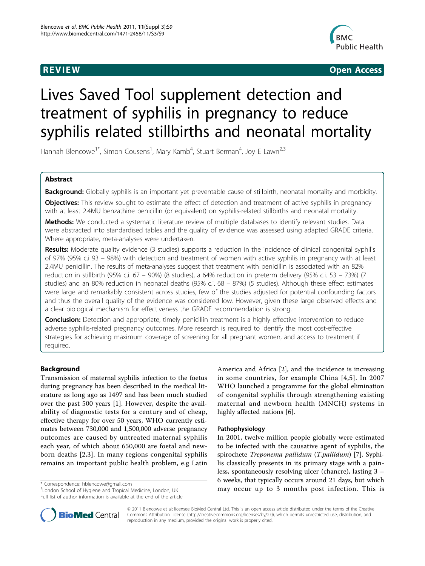

**REVIEW REVIEW CONSTRUCTER CONSTRUCTION** 

# Lives Saved Tool supplement detection and treatment of syphilis in pregnancy to reduce syphilis related stillbirths and neonatal mortality

Hannah Blencowe<sup>1\*</sup>, Simon Cousens<sup>1</sup>, Mary Kamb<sup>4</sup>, Stuart Berman<sup>4</sup>, Joy E Lawn<sup>2,3</sup>

# Abstract

Background: Globally syphilis is an important yet preventable cause of stillbirth, neonatal mortality and morbidity. **Objectives:** This review sought to estimate the effect of detection and treatment of active syphilis in pregnancy

with at least 2.4MU benzathine penicillin (or equivalent) on syphilis-related stillbirths and neonatal mortality. Methods: We conducted a systematic literature review of multiple databases to identify relevant studies. Data

were abstracted into standardised tables and the quality of evidence was assessed using adapted GRADE criteria. Where appropriate, meta-analyses were undertaken.

Results: Moderate quality evidence (3 studies) supports a reduction in the incidence of clinical congenital syphilis of 97% (95% c.i 93 – 98%) with detection and treatment of women with active syphilis in pregnancy with at least 2.4MU penicillin. The results of meta-analyses suggest that treatment with penicillin is associated with an 82% reduction in stillbirth (95% c.i. 67 – 90%) (8 studies), a 64% reduction in preterm delivery (95% c.i. 53 – 73%) (7 studies) and an 80% reduction in neonatal deaths (95% c.i.  $68 - 87%$ ) (5 studies). Although these effect estimates were large and remarkably consistent across studies, few of the studies adjusted for potential confounding factors and thus the overall quality of the evidence was considered low. However, given these large observed effects and a clear biological mechanism for effectiveness the GRADE recommendation is strong.

**Conclusion:** Detection and appropriate, timely penicillin treatment is a highly effective intervention to reduce adverse syphilis-related pregnancy outcomes. More research is required to identify the most cost-effective strategies for achieving maximum coverage of screening for all pregnant women, and access to treatment if required.

# Background

Transmission of maternal syphilis infection to the foetus during pregnancy has been described in the medical literature as long ago as 1497 and has been much studied over the past 500 years [[1\]](#page-13-0). However, despite the availability of diagnostic tests for a century and of cheap, effective therapy for over 50 years, WHO currently estimates between 730,000 and 1,500,000 adverse pregnancy outcomes are caused by untreated maternal syphilis each year, of which about 650,000 are foetal and newborn deaths [[2,3\]](#page-13-0). In many regions congenital syphilis remains an important public health problem, e.g Latin

<sup>1</sup> London School of Hygiene and Tropical Medicine, London, UK Full list of author information is available at the end of the article America and Africa [[2](#page-13-0)], and the incidence is increasing in some countries, for example China [[4,5\]](#page-13-0). In 2007 WHO launched a programme for the global elimination of congenital syphilis through strengthening existing maternal and newborn health (MNCH) systems in highly affected nations [[6](#page-13-0)].

# Pathophysiology

In 2001, twelve million people globally were estimated to be infected with the causative agent of syphilis, the spirochete Treponema pallidum (T.pallidum) [[7\]](#page-13-0). Syphilis classically presents in its primary stage with a painless, spontaneously resolving ulcer (chancre), lasting 3 – 6 weeks, that typically occurs around 21 days, but which correspondence: [hblencowe@gmail.com](mailto:hblencowe@gmail.com) **blencowe@gmail.com**<br><sup>1</sup>London School of Hyaiene and Tropical Medicine. London. UK **may occur up to 3 months post infection. This is** 



© 2011 Blencowe et al; licensee BioMed Central Ltd. This is an open access article distributed under the terms of the Creative Commons Attribution License [\(http://creativecommons.org/licenses/by/2.0](http://creativecommons.org/licenses/by/2.0)), which permits unrestricted use, distribution, and reproduction in any medium, provided the original work is properly cited.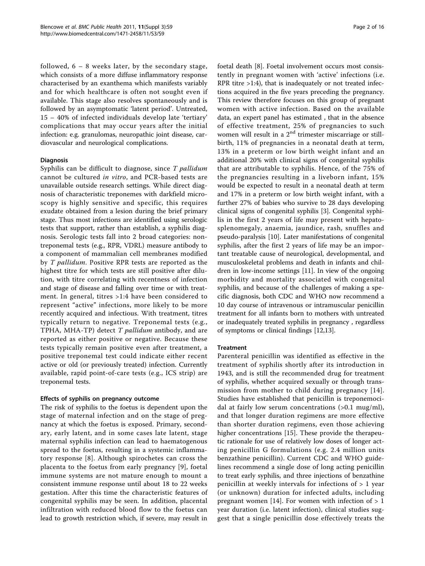followed,  $6 - 8$  weeks later, by the secondary stage, which consists of a more diffuse inflammatory response characterised by an exanthema which manifests variably and for which healthcare is often not sought even if available. This stage also resolves spontaneously and is followed by an asymptomatic 'latent period'. Untreated, 15 – 40% of infected individuals develop late 'tertiary' complications that may occur years after the initial infection: e.g. granulomas, neuropathic joint disease, cardiovascular and neurological complications.

#### **Diagnosis**

Syphilis can be difficult to diagnose, since T pallidum cannot be cultured in vitro, and PCR-based tests are unavailable outside research settings. While direct diagnosis of characteristic treponemes with darkfield microscopy is highly sensitive and specific, this requires exudate obtained from a lesion during the brief primary stage. Thus most infections are identified using serologic tests that support, rather than establish, a syphilis diagnosis. Serologic tests fall into 2 broad categories: nontreponemal tests (e.g., RPR, VDRL) measure antibody to a component of mammalian cell membranes modified by T pallidum. Positive RPR tests are reported as the highest titre for which tests are still positive after dilution, with titre correlating with recentness of infection and stage of disease and falling over time or with treatment. In general, titres >1:4 have been considered to represent "active" infections, more likely to be more recently acquired and infectious. With treatment, titres typically return to negative. Treponemal tests (e.g., TPHA, MHA-TP) detect T pallidum antibody, and are reported as either positive or negative. Because these tests typically remain positive even after treatment, a positive treponemal test could indicate either recent active or old (or previously treated) infection. Currently available, rapid point-of-care tests (e.g., ICS strip) are treponemal tests.

#### Effects of syphilis on pregnancy outcome

The risk of syphilis to the foetus is dependent upon the stage of maternal infection and on the stage of pregnancy at which the foetus is exposed. Primary, secondary, early latent, and in some cases late latent, stage maternal syphilis infection can lead to haematogenous spread to the foetus, resulting in a systemic inflammatory response [\[8\]](#page-14-0). Although spirochetes can cross the placenta to the foetus from early pregnancy [[9\]](#page-14-0), foetal immune systems are not mature enough to mount a consistent immune response until about 18 to 22 weeks gestation. After this time the characteristic features of congenital syphilis may be seen. In addition, placental infiltration with reduced blood flow to the foetus can lead to growth restriction which, if severe, may result in foetal death [[8\]](#page-14-0). Foetal involvement occurs most consistently in pregnant women with 'active' infections (i.e. RPR titre >1:4), that is inadequately or not treated infections acquired in the five years preceding the pregnancy. This review therefore focuses on this group of pregnant women with active infection. Based on the available data, an expert panel has estimated , that in the absence of effective treatment, 25% of pregnancies to such women will result in a  $2<sup>nd</sup>$  trimester miscarriage or stillbirth, 11% of pregnancies in a neonatal death at term, 13% in a preterm or low birth weight infant and an additional 20% with clinical signs of congenital syphilis that are attributable to syphilis. Hence, of the 75% of the pregnancies resulting in a liveborn infant, 15% would be expected to result in a neonatal death at term and 17% in a preterm or low birth weight infant, with a further 27% of babies who survive to 28 days developing clinical signs of congenital syphilis [[3\]](#page-13-0). Congenital syphilis in the first 2 years of life may present with hepatosplenomegaly, anaemia, jaundice, rash, snuffles and pseudo-paralysis [[10\]](#page-14-0). Later manifestations of congenital syphilis, after the first 2 years of life may be an important treatable cause of neurological, developmental, and musculoskeletal problems and death in infants and children in low-income settings [[11](#page-14-0)]. In view of the ongoing morbidity and mortality associated with congenital syphilis, and because of the challenges of making a specific diagnosis, both CDC and WHO now recommend a 10 day course of intravenous or intramuscular penicillin treatment for all infants born to mothers with untreated or inadequately treated syphilis in pregnancy , regardless of symptoms or clinical findings [\[12,13](#page-14-0)].

#### Treatment

Parenteral penicillin was identified as effective in the treatment of syphilis shortly after its introduction in 1943, and is still the recommended drug for treatment of syphilis, whether acquired sexually or through transmission from mother to child during pregnancy [[14](#page-14-0)]. Studies have established that penicillin is treponemocidal at fairly low serum concentrations (>0.1 mug/ml), and that longer duration regimens are more effective than shorter duration regimens, even those achieving higher concentrations [[15\]](#page-14-0). These provide the therapeutic rationale for use of relatively low doses of longer acting penicillin G formulations (e.g. 2.4 million units benzathine penicillin). Current CDC and WHO guidelines recommend a single dose of long acting penicillin to treat early syphilis, and three injections of benzathine penicillin at weekly intervals for infections of  $> 1$  year (or unknown) duration for infected adults, including pregnant women [[14\]](#page-14-0). For women with infection of  $> 1$ year duration (i.e. latent infection), clinical studies suggest that a single penicillin dose effectively treats the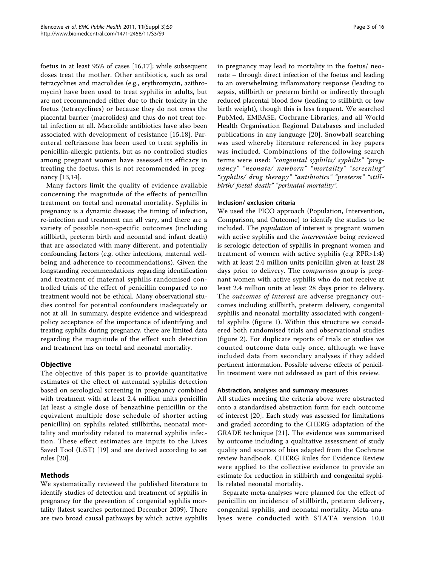foetus in at least 95% of cases [\[16,17](#page-14-0)]; while subsequent doses treat the mother. Other antibiotics, such as oral tetracyclines and macrolides (e.g., erythromycin, azithromycin) have been used to treat syphilis in adults, but are not recommended either due to their toxicity in the foetus (tetracyclines) or because they do not cross the placental barrier (macrolides) and thus do not treat foetal infection at all. Macrolide antibiotics have also been associated with development of resistance [[15,18\]](#page-14-0). Parenteral ceftriaxone has been used to treat syphilis in penicillin-allergic patients, but as no controlled studies among pregnant women have assessed its efficacy in treating the foetus, this is not recommended in pregnancy [[13,14\]](#page-14-0).

Many factors limit the quality of evidence available concerning the magnitude of the effects of penicillin treatment on foetal and neonatal mortality. Syphilis in pregnancy is a dynamic disease; the timing of infection, re-infection and treatment can all vary, and there are a variety of possible non-specific outcomes (including stillbirth, preterm birth and neonatal and infant death) that are associated with many different, and potentially confounding factors (e.g. other infections, maternal wellbeing and adherence to recommendations). Given the longstanding recommendations regarding identification and treatment of maternal syphilis randomised controlled trials of the effect of penicillin compared to no treatment would not be ethical. Many observational studies control for potential confounders inadequately or not at all. In summary, despite evidence and widespread policy acceptance of the importance of identifying and treating syphilis during pregnancy, there are limited data regarding the magnitude of the effect such detection and treatment has on foetal and neonatal mortality.

# Objective

The objective of this paper is to provide quantitative estimates of the effect of antenatal syphilis detection based on serological screening in pregnancy combined with treatment with at least 2.4 million units penicillin (at least a single dose of benzathine penicillin or the equivalent multiple dose schedule of shorter acting penicillin) on syphilis related stillbirths, neonatal mortality and morbidity related to maternal syphilis infection. These effect estimates are inputs to the Lives Saved Tool (LiST) [\[19](#page-14-0)] and are derived according to set rules [[20\]](#page-14-0).

# Methods

We systematically reviewed the published literature to identify studies of detection and treatment of syphilis in pregnancy for the prevention of congenital syphilis mortality (latest searches performed December 2009). There are two broad causal pathways by which active syphilis in pregnancy may lead to mortality in the foetus/ neonate – through direct infection of the foetus and leading to an overwhelming inflammatory response (leading to sepsis, stillbirth or preterm birth) or indirectly through reduced placental blood flow (leading to stillbirth or low birth weight), though this is less frequent. We searched PubMed, EMBASE, Cochrane Libraries, and all World Health Organisation Regional Databases and included publications in any language [[20](#page-14-0)]. Snowball searching was used whereby literature referenced in key papers was included. Combinations of the following search terms were used: "congenital syphilis/ syphilis" "pregnancy" "neonate/ newborn" "mortality" "screening" "syphilis/ drug therapy" "antibiotics" "preterm" "stillbirth/ foetal death" "perinatal mortality".

# Inclusion/ exclusion criteria

We used the PICO approach (Population, Intervention, Comparison, and Outcome) to identify the studies to be included. The population of interest is pregnant women with active syphilis and the intervention being reviewed is serologic detection of syphilis in pregnant women and treatment of women with active syphilis (e.g RPR>1:4) with at least 2.4 million units penicillin given at least 28 days prior to delivery. The comparison group is pregnant women with active syphilis who do not receive at least 2.4 million units at least 28 days prior to delivery. The outcomes of interest are adverse pregnancy outcomes including stillbirth, preterm delivery, congenital syphilis and neonatal mortality associated with congenital syphilis (figure [1\)](#page-3-0). Within this structure we considered both randomised trials and observational studies (figure [2](#page-4-0)). For duplicate reports of trials or studies we counted outcome data only once, although we have included data from secondary analyses if they added pertinent information. Possible adverse effects of penicillin treatment were not addressed as part of this review.

# Abstraction, analyses and summary measures

All studies meeting the criteria above were abstracted onto a standardised abstraction form for each outcome of interest [\[20](#page-14-0)]. Each study was assessed for limitations and graded according to the CHERG adaptation of the GRADE technique [[21](#page-14-0)]. The evidence was summarised by outcome including a qualitative assessment of study quality and sources of bias adapted from the Cochrane review handbook. CHERG Rules for Evidence Review were applied to the collective evidence to provide an estimate for reduction in stillbirth and congenital syphilis related neonatal mortality.

Separate meta-analyses were planned for the effect of penicillin on incidence of stillbirth, preterm delivery, congenital syphilis, and neonatal mortality. Meta-analyses were conducted with STATA version 10.0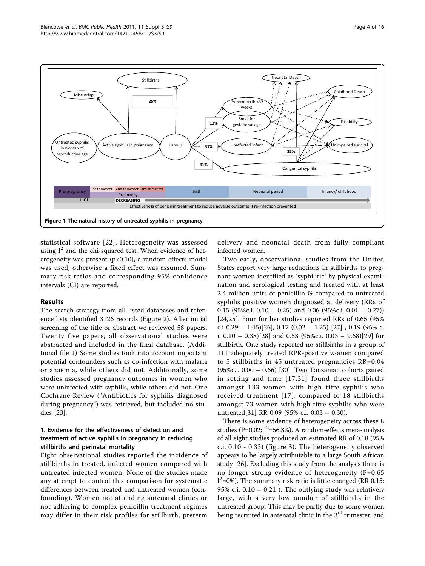<span id="page-3-0"></span>

statistical software [[22](#page-14-0)]. Heterogeneity was assessed using  $I^2$  and the chi-squared test. When evidence of heterogeneity was present (p<0.10), a random effects model was used, otherwise a fixed effect was assumed. Summary risk ratios and corresponding 95% confidence intervals (CI) are reported.

# Results

The search strategy from all listed databases and reference lists identified 3126 records (Figure [2\)](#page-4-0). After initial screening of the title or abstract we reviewed 58 papers. Twenty five papers, all observational studies were abstracted and included in the final database. (Additional file [1](#page-13-0)) Some studies took into account important potential confounders such as co-infection with malaria or anaemia, while others did not. Additionally, some studies assessed pregnancy outcomes in women who were uninfected with syphilis, while others did not. One Cochrane Review ("Antibiotics for syphilis diagnosed during pregnancy") was retrieved, but included no studies [[23\]](#page-14-0).

# 1. Evidence for the effectiveness of detection and treatment of active syphilis in pregnancy in reducing stillbirths and perinatal mortality

Eight observational studies reported the incidence of stillbirths in treated, infected women compared with untreated infected women. None of the studies made any attempt to control this comparison for systematic differences between treated and untreated women (confounding). Women not attending antenatal clinics or not adhering to complex penicillin treatment regimes may differ in their risk profiles for stillbirth, preterm

delivery and neonatal death from fully compliant infected women.

Two early, observational studies from the United States report very large reductions in stillbirths to pregnant women identified as 'syphilitic' by physical examination and serological testing and treated with at least 2.4 million units of penicillin G compared to untreated syphilis positive women diagnosed at delivery (RRs of 0.15 (95%c.i.  $0.10 - 0.25$ ) and 0.06 (95%c.i.  $0.01 - 0.27$ )) [[24,25](#page-14-0)]. Four further studies reported RRs of 0.65 (95% c.i  $0.29 - 1.45$ [[26](#page-14-0)],  $0.17$   $(0.02 - 1.25)$  [\[27\]](#page-14-0),  $0.19$  (95% c. i. 0.10 – 0.38)[\[28](#page-14-0)] and 0.53 (95%c.i. 0.03 – 9.68)[\[29](#page-14-0)] for stillbirth. One study reported no stillbirths in a group of 111 adequately treated RPR-positive women compared to 5 stillbirths in 45 untreated pregnancies RR=0.04 (95%c.i. 0.00 – 0.66) [\[30\]](#page-14-0). Two Tanzanian cohorts paired in setting and time [[17,31\]](#page-14-0) found three stillbirths amongst 133 women with high titre syphilis who received treatment [[17\]](#page-14-0), compared to 18 stillbirths amongst 73 women with high titre syphilis who were untreated[[31\]](#page-14-0) RR 0.09 (95% c.i. 0.03 – 0.30).

There is some evidence of heterogeneity across these 8 studies (P=0.02;  $I^2$ =56.8%). A random-effects meta-analysis of all eight studies produced an estimated RR of 0.18 (95% c.i. 0.10 - 0.33) (figure [3\)](#page-5-0). The heterogeneity observed appears to be largely attributable to a large South African study [[26](#page-14-0)]. Excluding this study from the analysis there is no longer strong evidence of heterogeneity (P=0.65 I 2 =0%). The summary risk ratio is little changed (RR 0.15: 95% c.i.  $0.10 - 0.21$  ). The outlying study was relatively large, with a very low number of stillbirths in the untreated group. This may be partly due to some women being recruited in antenatal clinic in the  $3<sup>rd</sup>$  trimester, and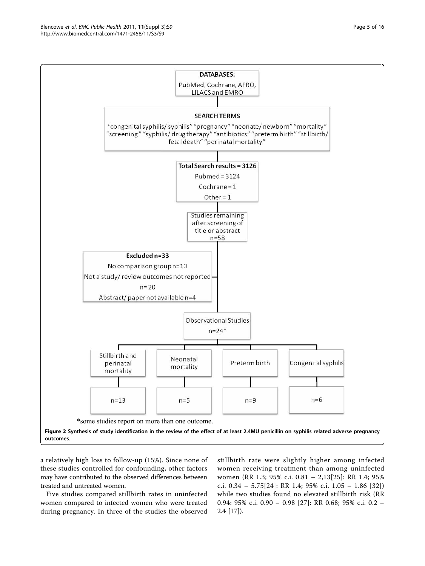<span id="page-4-0"></span>

a relatively high loss to follow-up (15%). Since none of these studies controlled for confounding, other factors may have contributed to the observed differences between treated and untreated women.

Five studies compared stillbirth rates in uninfected women compared to infected women who were treated during pregnancy. In three of the studies the observed

stillbirth rate were slightly higher among infected women receiving treatment than among uninfected women (RR 1.3; 95% c.i. 0.81 – 2,13[[25](#page-14-0)]: RR 1.4; 95% c.i. 0.34 – 5.75[\[24\]](#page-14-0): RR 1.4; 95% c.i. 1.05 – 1.86 [[32\]](#page-14-0)) while two studies found no elevated stillbirth risk (RR 0.94: 95% c.i. 0.90 – 0.98 [[27\]](#page-14-0): RR 0.68; 95% c.i. 0.2 – 2.4 [\[17\]](#page-14-0)).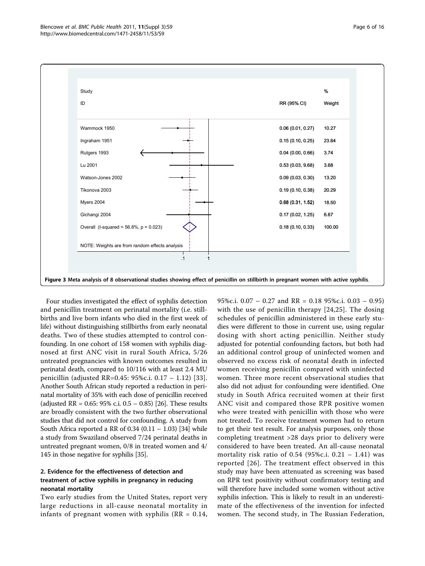<span id="page-5-0"></span>

Four studies investigated the effect of syphilis detection and penicillin treatment on perinatal mortality (i.e. stillbirths and live born infants who died in the first week of life) without distinguishing stillbirths from early neonatal deaths. Two of these studies attempted to control confounding. In one cohort of 158 women with syphilis diagnosed at first ANC visit in rural South Africa, 5/26 untreated pregnancies with known outcomes resulted in perinatal death, compared to 10/116 with at least 2.4 MU penicillin (adjusted RR=0.45: 95%c.i. 0.17 – 1.12) [[33](#page-14-0)]. Another South African study reported a reduction in perinatal mortality of 35% with each dose of penicillin received (adjusted RR =  $0.65$ : 95% c.i.  $0.5 - 0.85$ ) [[26](#page-14-0)]. These results are broadly consistent with the two further observational studies that did not control for confounding. A study from South Africa reported a RR of  $0.34$   $(0.11 - 1.03)$  [\[34\]](#page-14-0) while a study from Swaziland observed 7/24 perinatal deaths in untreated pregnant women, 0/8 in treated women and 4/ 145 in those negative for syphilis [\[35](#page-14-0)].

# 2. Evidence for the effectiveness of detection and treatment of active syphilis in pregnancy in reducing neonatal mortality

Two early studies from the United States, report very large reductions in all-cause neonatal mortality in infants of pregnant women with syphilis  $(RR = 0.14,$ 

95%c.i. 0.07 – 0.27 and RR = 0.18 95%c.i. 0.03 – 0.95) with the use of penicillin therapy [\[24,25\]](#page-14-0). The dosing schedules of penicillin administered in these early studies were different to those in current use, using regular dosing with short acting penicillin. Neither study adjusted for potential confounding factors, but both had an additional control group of uninfected women and observed no excess risk of neonatal death in infected women receiving penicillin compared with uninfected women. Three more recent observational studies that also did not adjust for confounding were identified. One study in South Africa recruited women at their first ANC visit and compared those RPR positive women who were treated with penicillin with those who were not treated. To receive treatment women had to return to get their test result. For analysis purposes, only those completing treatment >28 days prior to delivery were considered to have been treated. An all-cause neonatal mortality risk ratio of 0.54 (95%c.i.  $0.21 - 1.41$ ) was reported [[26\]](#page-14-0). The treatment effect observed in this study may have been attenuated as screening was based on RPR test positivity without confirmatory testing and will therefore have included some women without active syphilis infection. This is likely to result in an underestimate of the effectiveness of the invention for infected women. The second study, in The Russian Federation,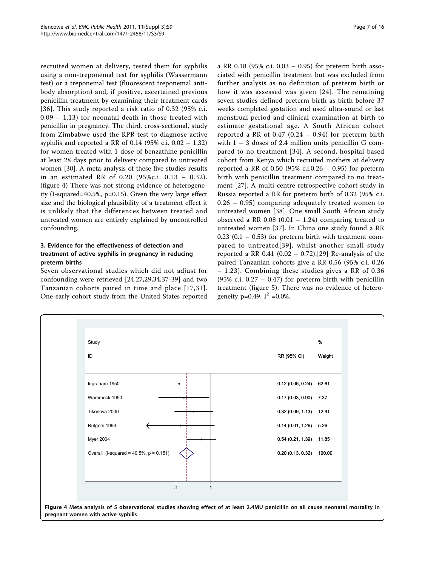<span id="page-6-0"></span>recruited women at delivery, tested them for syphilis using a non-treponemal test for syphilis (Wassermann test) or a treponemal test (fluorescent treponemal antibody absorption) and, if positive, ascertained previous penicillin treatment by examining their treatment cards [[36](#page-14-0)]. This study reported a risk ratio of 0.32 (95% c.i. 0.09 – 1.13) for neonatal death in those treated with penicillin in pregnancy. The third, cross-sectional, study from Zimbabwe used the RPR test to diagnose active syphilis and reported a RR of 0.14 (95% c.i. 0.02 – 1.32) for women treated with 1 dose of benzathine penicillin at least 28 days prior to delivery compared to untreated women [[30\]](#page-14-0). A meta-analysis of these five studies results in an estimated RR of 0.20 (95%c.i. 0.13 – 0.32). (figure 4) There was not strong evidence of heterogeneity (I-squared=40.5%, p=0.15). Given the very large effect size and the biological plausibility of a treatment effect it is unlikely that the differences between treated and untreated women are entirely explained by uncontrolled confounding.

# 3. Evidence for the effectiveness of detection and treatment of active syphilis in pregnancy in reducing preterm births

Seven observational studies which did not adjust for confounding were retrieved [\[24,27,29](#page-14-0),[34](#page-14-0),[37](#page-14-0)-[39\]](#page-14-0) and two Tanzanian cohorts paired in time and place [[17,31\]](#page-14-0). One early cohort study from the United States reported a RR 0.18 (95% c.i. 0.03 – 0.95) for preterm birth associated with penicillin treatment but was excluded from further analysis as no definition of preterm birth or how it was assessed was given [[24\]](#page-14-0). The remaining seven studies defined preterm birth as birth before 37 weeks completed gestation and used ultra-sound or last menstrual period and clinical examination at birth to estimate gestational age. A South African cohort reported a RR of  $0.47$   $(0.24 - 0.94)$  for preterm birth with  $1 - 3$  doses of 2.4 million units penicillin G compared to no treatment [[34\]](#page-14-0). A second, hospital-based cohort from Kenya which recruited mothers at delivery reported a RR of 0.50 (95% c.i.0.26 - 0.95) for preterm birth with penicillin treatment compared to no treatment [[27\]](#page-14-0). A multi-centre retrospective cohort study in Russia reported a RR for preterm birth of 0.32 (95% c.i. 0.26 – 0.95) comparing adequately treated women to untreated women [\[38](#page-14-0)]. One small South African study observed a RR  $0.08$  (0.01 – 1.24) comparing treated to untreated women [[37\]](#page-14-0). In China one study found a RR  $0.23$   $(0.1 - 0.53)$  for preterm birth with treatment compared to untreated[[39\]](#page-14-0), whilst another small study reported a RR 0.41  $(0.02 - 0.72)$ .[[29](#page-14-0)] Re-analysis of the paired Tanzanian cohorts give a RR 0.56 (95% c.i. 0.26 – 1.23). Combining these studies gives a RR of 0.36 (95% c.i.  $0.27 - 0.47$ ) for preterm birth with penicillin treatment (figure [5\)](#page-7-0). There was no evidence of heterogeneity p=0.49,  $I^2$  =0.0%.

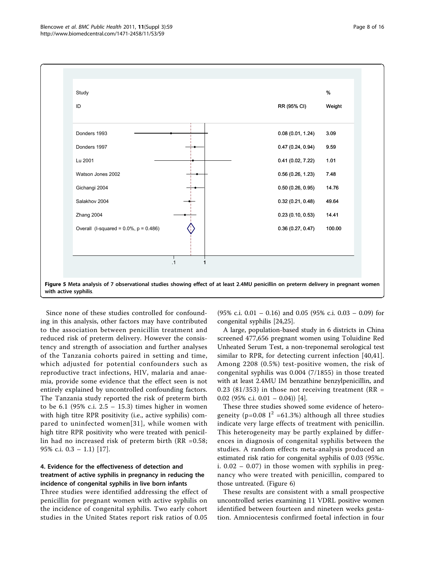<span id="page-7-0"></span>

Since none of these studies controlled for confounding in this analysis, other factors may have contributed to the association between penicillin treatment and reduced risk of preterm delivery. However the consistency and strength of association and further analyses of the Tanzania cohorts paired in setting and time, which adjusted for potential confounders such as reproductive tract infections, HIV, malaria and anaemia, provide some evidence that the effect seen is not entirely explained by uncontrolled confounding factors. The Tanzania study reported the risk of preterm birth to be 6.1 (95% c.i. 2.5 – 15.3) times higher in women with high titre RPR positivity (i.e., active syphilis) compared to uninfected women[[31](#page-14-0)], while women with high titre RPR positivity who were treated with penicillin had no increased risk of preterm birth (RR =0.58; 95% c.i. 0.3 – 1.1) [[17](#page-14-0)].

# 4. Evidence for the effectiveness of detection and treatment of active syphilis in pregnancy in reducing the incidence of congenital syphilis in live born infants

Three studies were identified addressing the effect of penicillin for pregnant women with active syphilis on the incidence of congenital syphilis. Two early cohort studies in the United States report risk ratios of 0.05

(95% c.i.  $0.01 - 0.16$ ) and 0.05 (95% c.i.  $0.03 - 0.09$ ) for congenital syphilis [\[24,25\]](#page-14-0).

A large, population-based study in 6 districts in China screened 477,656 pregnant women using Toluidine Red Unheated Serum Test, a non-treponemal serological test similar to RPR, for detecting current infection [\[40,41](#page-14-0)]. Among 2208 (0.5%) test-positive women, the risk of congenital syphilis was 0.004 (7/1855) in those treated with at least 2.4MU IM benzathine benzylpenicillin, and 0.23 (81/353) in those not receiving treatment ( $RR =$ 0.02 (95% c.i.  $0.01 - 0.04$ ) [[4\]](#page-13-0).

These three studies showed some evidence of heterogeneity (p=0.08  $I^2$  =61.3%) although all three studies indicate very large effects of treatment with penicillin. This heterogeneity may be partly explained by differences in diagnosis of congenital syphilis between the studies. A random effects meta-analysis produced an estimated risk ratio for congenital syphilis of 0.03 (95%c. i. 0.02 – 0.07) in those women with syphilis in pregnancy who were treated with penicillin, compared to those untreated. (Figure [6\)](#page-8-0)

These results are consistent with a small prospective uncontrolled series examining 11 VDRL positive women identified between fourteen and nineteen weeks gestation. Amniocentesis confirmed foetal infection in four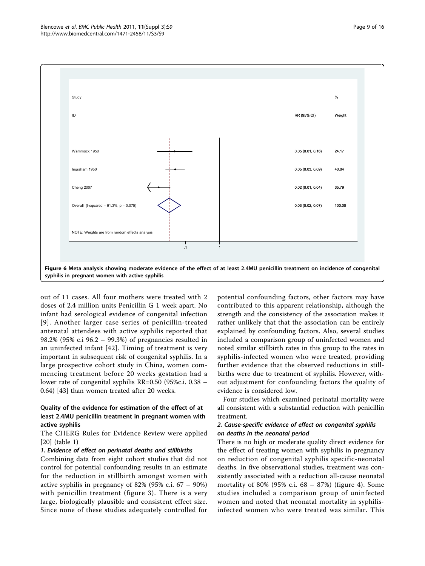<span id="page-8-0"></span>

out of 11 cases. All four mothers were treated with 2 doses of 2.4 million units Penicillin G 1 week apart. No infant had serological evidence of congenital infection [[9\]](#page-14-0). Another larger case series of penicillin-treated antenatal attendees with active syphilis reported that 98.2% (95% c.i 96.2 – 99.3%) of pregnancies resulted in an uninfected infant [[42](#page-14-0)]. Timing of treatment is very important in subsequent risk of congenital syphilis. In a large prospective cohort study in China, women commencing treatment before 20 weeks gestation had a lower rate of congenital syphilis RR=0.50 (95%c.i. 0.38 – 0.64) [\[43\]](#page-14-0) than women treated after 20 weeks.

# Quality of the evidence for estimation of the effect of at least 2.4MU penicillin treatment in pregnant women with active syphilis

# The CHERG Rules for Evidence Review were applied [[20\]](#page-14-0) (table [1\)](#page-9-0)

#### 1. Evidence of effect on perinatal deaths and stillbirths

Combining data from eight cohort studies that did not control for potential confounding results in an estimate for the reduction in stillbirth amongst women with active syphilis in pregnancy of 82% (95% c.i. 67 – 90%) with penicillin treatment (figure [3](#page-5-0)). There is a very large, biologically plausible and consistent effect size. Since none of these studies adequately controlled for

potential confounding factors, other factors may have contributed to this apparent relationship, although the strength and the consistency of the association makes it rather unlikely that that the association can be entirely explained by confounding factors. Also, several studies included a comparison group of uninfected women and noted similar stillbirth rates in this group to the rates in syphilis-infected women who were treated, providing further evidence that the observed reductions in stillbirths were due to treatment of syphilis. However, without adjustment for confounding factors the quality of evidence is considered low.

Four studies which examined perinatal mortality were all consistent with a substantial reduction with penicillin treatment.

# 2. Cause-specific evidence of effect on congenital syphilis on deaths in the neonatal period

There is no high or moderate quality direct evidence for the effect of treating women with syphilis in pregnancy on reduction of congenital syphilis specific-neonatal deaths. In five observational studies, treatment was consistently associated with a reduction all-cause neonatal mortality of 80% (95% c.i. 68 – 87%) (figure [4\)](#page-6-0). Some studies included a comparison group of uninfected women and noted that neonatal mortality in syphilisinfected women who were treated was similar. This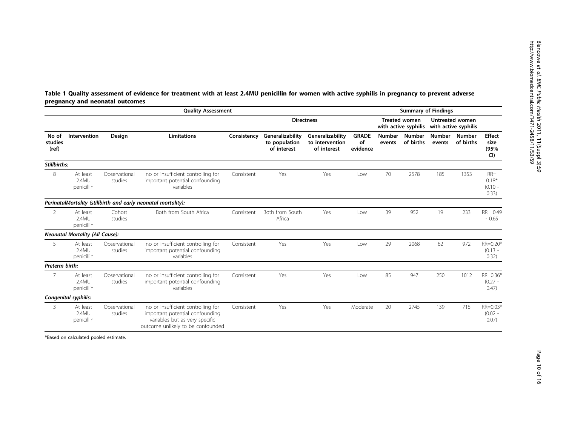# <span id="page-9-0"></span>Table <sup>1</sup> Quality assessment of evidence for treatment with at least 2.4MU penicillin for women with active syphilis in pregnancy to prevent adverse pregnancy and neonatal outcomes

|                           | <b>Quality Assessment</b>              |                          |                                                                                                                                              |             |                                                  |                                                    |                                | <b>Summary of Findings</b>                   |                            |                                         |                            |                                        |
|---------------------------|----------------------------------------|--------------------------|----------------------------------------------------------------------------------------------------------------------------------------------|-------------|--------------------------------------------------|----------------------------------------------------|--------------------------------|----------------------------------------------|----------------------------|-----------------------------------------|----------------------------|----------------------------------------|
|                           |                                        |                          |                                                                                                                                              |             | <b>Directness</b>                                |                                                    |                                | <b>Treated women</b><br>with active syphilis |                            | Untreated women<br>with active syphilis |                            |                                        |
| No of<br>studies<br>(ref) | Intervention                           | Design                   | <b>Limitations</b>                                                                                                                           | Consistency | Generalizability<br>to population<br>of interest | Generalizability<br>to intervention<br>of interest | <b>GRADE</b><br>of<br>evidence | <b>Number</b><br>events                      | <b>Number</b><br>of births | <b>Number</b><br>events                 | <b>Number</b><br>of births | <b>Effect</b><br>size<br>(95%<br>CI)   |
| Stillbirths:              |                                        |                          |                                                                                                                                              |             |                                                  |                                                    |                                |                                              |                            |                                         |                            |                                        |
| 8                         | At least<br>2.4MU<br>penicillin        | Observational<br>studies | no or insufficient controlling for<br>important potential confounding<br>variables                                                           | Consistent  | Yes                                              | Yes                                                | Low                            | 70                                           | 2578                       | 185                                     | 1353                       | $RR=$<br>$0.18*$<br>$(0.10 -$<br>0.33) |
|                           |                                        |                          | PerinatalMortality (stillbirth and early neonatal mortality):                                                                                |             |                                                  |                                                    |                                |                                              |                            |                                         |                            |                                        |
| 2                         | At least<br>2.4MU<br>penicillin        | Cohort<br>studies        | Both from South Africa                                                                                                                       | Consistent  | Both from South<br>Africa                        | Yes                                                | Low                            | 39                                           | 952                        | 19                                      | 233                        | $RR = 0.49$<br>$-0.65$                 |
|                           | <b>Neonatal Mortality (All Cause):</b> |                          |                                                                                                                                              |             |                                                  |                                                    |                                |                                              |                            |                                         |                            |                                        |
| 5                         | At least<br>2.4MU<br>penicillin        | Observational<br>studies | no or insufficient controlling for<br>important potential confounding<br>variables                                                           | Consistent  | Yes                                              | Yes                                                | Low                            | 29                                           | 2068                       | 62                                      | 972                        | $RR = 0.20*$<br>$(0.13 -$<br>0.32)     |
| Preterm birth:            |                                        |                          |                                                                                                                                              |             |                                                  |                                                    |                                |                                              |                            |                                         |                            |                                        |
| 7                         | At least<br>2.4MU<br>penicillin        | Observational<br>studies | no or insufficient controlling for<br>important potential confounding<br>variables                                                           | Consistent  | Yes                                              | Yes                                                | Low                            | 85                                           | 947                        | 250                                     | 1012                       | RR=0.36*<br>$(0.27 -$<br>0.47)         |
|                           | <b>Congenital syphilis:</b>            |                          |                                                                                                                                              |             |                                                  |                                                    |                                |                                              |                            |                                         |                            |                                        |
| 3                         | At least<br>2.4MU<br>penicillin        | Observational<br>studies | no or insufficient controlling for<br>important potential confounding<br>variables but as very specific<br>outcome unlikely to be confounded | Consistent  | Yes                                              | Yes                                                | Moderate                       | 20                                           | 2745                       | 139                                     | 715                        | RR=0.03*<br>$(0.02 -$<br>0.07)         |

\*Based on calculated pooled estimate.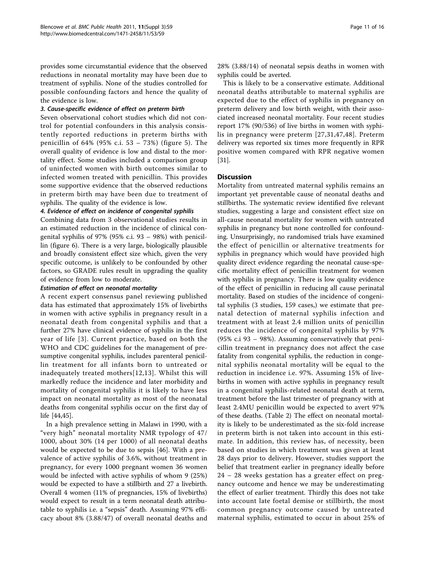provides some circumstantial evidence that the observed reductions in neonatal mortality may have been due to treatment of syphilis. None of the studies controlled for possible confounding factors and hence the quality of the evidence is low.

#### 3. Cause-specific evidence of effect on preterm birth

Seven observational cohort studies which did not control for potential confounders in this analysis consistently reported reductions in preterm births with penicillin of 64% (95% c.i. 53 – 73%) (figure [5\)](#page-7-0). The overall quality of evidence is low and distal to the mortality effect. Some studies included a comparison group of uninfected women with birth outcomes similar to infected women treated with penicillin. This provides some supportive evidence that the observed reductions in preterm birth may have been due to treatment of syphilis. The quality of the evidence is low.

# 4. Evidence of effect on incidence of congenital syphilis

Combining data from 3 observational studies results in an estimated reduction in the incidence of clinical congenital syphilis of 97% (95% c.i. 93 – 98%) with penicillin (figure [6\)](#page-8-0). There is a very large, biologically plausible and broadly consistent effect size which, given the very specific outcome, is unlikely to be confounded by other factors, so GRADE rules result in upgrading the quality of evidence from low to moderate.

# Estimation of effect on neonatal mortality

A recent expert consensus panel reviewing published data has estimated that approximately 15% of livebirths in women with active syphilis in pregnancy result in a neonatal death from congenital syphilis and that a further 27% have clinical evidence of syphilis in the first year of life [[3](#page-13-0)]. Current practice, based on both the WHO and CDC guidelines for the management of presumptive congenital syphilis, includes parenteral penicillin treatment for all infants born to untreated or inadequately treated mothers[[12,13\]](#page-14-0). Whilst this will markedly reduce the incidence and later morbidity and mortality of congenital syphilis it is likely to have less impact on neonatal mortality as most of the neonatal deaths from congenital syphilis occur on the first day of life [\[44,45](#page-14-0)].

In a high prevalence setting in Malawi in 1990, with a "very high" neonatal mortality NMR typology of 47/ 1000, about 30% (14 per 1000) of all neonatal deaths would be expected to be due to sepsis [[46\]](#page-14-0). With a prevalence of active syphilis of 3.6%, without treatment in pregnancy, for every 1000 pregnant women 36 women would be infected with active syphilis of whom 9 (25%) would be expected to have a stillbirth and 27 a livebirth. Overall 4 women (11% of pregnancies, 15% of livebirths) would expect to result in a term neonatal death attributable to syphilis i.e. a "sepsis" death. Assuming 97% efficacy about 8% (3.88/47) of overall neonatal deaths and 28% (3.88/14) of neonatal sepsis deaths in women with syphilis could be averted.

This is likely to be a conservative estimate. Additional neonatal deaths attributable to maternal syphilis are expected due to the effect of syphilis in pregnancy on preterm delivery and low birth weight, with their associated increased neonatal mortality. Four recent studies report 17% (90/536) of live births in women with syphilis in pregnancy were preterm [[27](#page-14-0),[31](#page-14-0),[47](#page-14-0),[48](#page-14-0)]. Preterm delivery was reported six times more frequently in RPR positive women compared with RPR negative women [[31\]](#page-14-0).

# **Discussion**

Mortality from untreated maternal syphilis remains an important yet preventable cause of neonatal deaths and stillbirths. The systematic review identified five relevant studies, suggesting a large and consistent effect size on all-cause neonatal mortality for women with untreated syphilis in pregnancy but none controlled for confounding. Unsurprisingly, no randomised trials have examined the effect of penicillin or alternative treatments for syphilis in pregnancy which would have provided high quality direct evidence regarding the neonatal cause-specific mortality effect of penicillin treatment for women with syphilis in pregnancy. There is low quality evidence of the effect of penicillin in reducing all cause perinatal mortality. Based on studies of the incidence of congenital syphilis (3 studies, 159 cases,) we estimate that prenatal detection of maternal syphilis infection and treatment with at least 2.4 million units of penicillin reduces the incidence of congenital syphilis by 97% (95% c.i 93 – 98%). Assuming conservatively that penicillin treatment in pregnancy does not affect the case fatality from congenital syphilis, the reduction in congenital syphilis neonatal mortality will be equal to the reduction in incidence i.e. 97%. Assuming 15% of livebirths in women with active syphilis in pregnancy result in a congenital syphilis-related neonatal death at term, treatment before the last trimester of pregnancy with at least 2.4MU penicillin would be expected to avert 97% of these deaths. (Table [2\)](#page-11-0) The effect on neonatal mortality is likely to be underestimated as the six-fold increase in preterm birth is not taken into account in this estimate. In addition, this review has, of necessity, been based on studies in which treatment was given at least 28 days prior to delivery. However, studies support the belief that treatment earlier in pregnancy ideally before 24 – 28 weeks gestation has a greater effect on pregnancy outcome and hence we may be underestimating the effect of earlier treatment. Thirdly this does not take into account late foetal demise or stillbirth, the most common pregnancy outcome caused by untreated maternal syphilis, estimated to occur in about 25% of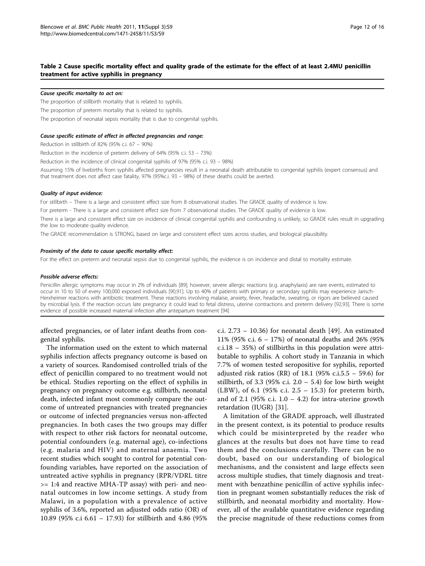# <span id="page-11-0"></span>Table 2 Cause specific mortality effect and quality grade of the estimate for the effect of at least 2.4MU penicillin treatment for active syphilis in pregnancy

#### Cause specific mortality to act on:

The proportion of stillbirth mortality that is related to syphilis. The proportion of preterm mortality that is related to syphilis. The proportion of neonatal sepsis mortality that is due to congenital syphilis.

#### Cause specific estimate of effect in affected pregnancies and range:

Reduction in stillbirth of 82% (95% c.i. 67 – 90%)

Reduction in the incidence of preterm delivery of 64% (95% c.i. 53 – 73%)

Reduction in the incidence of clinical congenital syphilis of 97% (95% c.i. 93 – 98%)

Assuming 15% of livebirths from syphilis affected pregnancies result in a neonatal death attributable to congenital syphilis (expert consensus) and that treatment does not affect case fatality, 97% (95%c.i. 93 – 98%) of these deaths could be averted.

#### Quality of input evidence:

For stillbirth – There is a large and consistent effect size from 8 observational studies. The GRADE quality of evidence is low.

For preterm - There is a large and consistent effect size from 7 observational studies. The GRADE quality of evidence is low.

There is a large and consistent effect size on incidence of clinical congenital syphilis and confounding is unlikely, so GRADE rules result in upgrading the low to moderate quality evidence.

The GRADE recommendation is STRONG, based on large and consistent effect sizes across studies, and biological plausibility.

#### Proximity of the data to cause specific mortality effect:

For the effect on preterm and neonatal sepsis due to congenital syphilis, the evidence is on incidence and distal to mortality estimate.

#### Possible adverse effects:

Penicillin allergic symptoms may occur in 2% of individuals [[89](#page-15-0)]; however, severe allergic reactions (e.g. anaphylaxis) are rare events, estimated to occur in 10 to 50 of every 100,000 exposed individuals [\[90,91](#page-15-0)]. Up to 40% of patients with primary or secondary syphilis may experience Jarisch-Herxheimer reactions with antibiotic treatment. These reactions involving malaise, anxiety, fever, headache, sweating, or rigors are believed caused by microbial lysis. If the reaction occurs late pregnancy it could lead to fetal distress, uterine contractions and preterm delivery [\[92,93\]](#page-15-0). There is some evidence of possible increased maternal infection after antepartum treatment [[94](#page-15-0)]

affected pregnancies, or of later infant deaths from congenital syphilis.

The information used on the extent to which maternal syphilis infection affects pregnancy outcome is based on a variety of sources. Randomised controlled trials of the effect of penicillin compared to no treatment would not be ethical. Studies reporting on the effect of syphilis in pregnancy on pregnancy outcome e.g. stillbirth, neonatal death, infected infant most commonly compare the outcome of untreated pregnancies with treated pregnancies or outcome of infected pregnancies versus non-affected pregnancies. In both cases the two groups may differ with respect to other risk factors for neonatal outcome, potential confounders (e.g. maternal age), co-infections (e.g. malaria and HIV) and maternal anaemia. Two recent studies which sought to control for potential confounding variables, have reported on the association of untreated active syphilis in pregnancy (RPR/VDRL titre >= 1:4 and reactive MHA-TP assay) with peri- and neonatal outcomes in low income settings. A study from Malawi, in a population with a prevalence of active syphilis of 3.6%, reported an adjusted odds ratio (OR) of 10.89 (95% c.i 6.61 – 17.93) for stillbirth and 4.86 (95%

c.i. 2.73 – 10.36) for neonatal death [\[49](#page-14-0)]. An estimated 11% (95% c.i. 6 – 17%) of neonatal deaths and 26% (95% c.i.18 – 35%) of stillbirths in this population were attributable to syphilis. A cohort study in Tanzania in which 7.7% of women tested seropositive for syphilis, reported adjusted risk ratios (RR) of 18.1 (95% c.i.5.5 – 59.6) for stillbirth, of 3.3 (95% c.i.  $2.0 - 5.4$ ) for low birth weight (LBW), of 6.1 (95% c.i. 2.5 – 15.3) for preterm birth, and of 2.1 (95% c.i.  $1.0 - 4.2$ ) for intra-uterine growth retardation (IUGR) [\[31](#page-14-0)].

A limitation of the GRADE approach, well illustrated in the present context, is its potential to produce results which could be misinterpreted by the reader who glances at the results but does not have time to read them and the conclusions carefully. There can be no doubt, based on our understanding of biological mechanisms, and the consistent and large effects seen across multiple studies, that timely diagnosis and treatment with benzathine penicillin of active syphilis infection in pregnant women substantially reduces the risk of stillbirth, and neonatal morbidity and mortality. However, all of the available quantitative evidence regarding the precise magnitude of these reductions comes from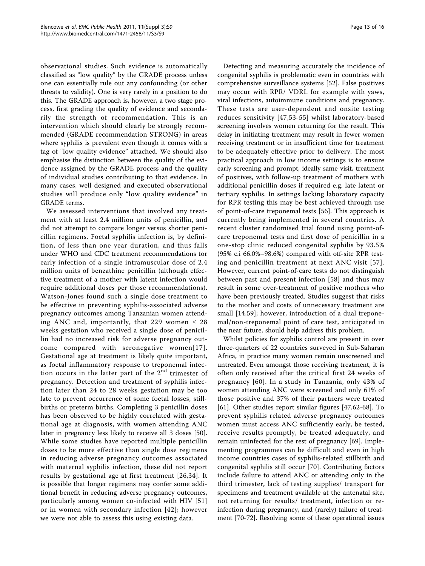observational studies. Such evidence is automatically classified as "low quality" by the GRADE process unless one can essentially rule out any confounding (or other threats to validity). One is very rarely in a position to do this. The GRADE approach is, however, a two stage process, first grading the quality of evidence and secondarily the strength of recommendation. This is an intervention which should clearly be strongly recommended (GRADE recommendation STRONG) in areas where syphilis is prevalent even though it comes with a tag of "low quality evidence" attached. We should also emphasise the distinction between the quality of the evidence assigned by the GRADE process and the quality of individual studies contributing to that evidence. In many cases, well designed and executed observational studies will produce only "low quality evidence" in GRADE terms.

We assessed interventions that involved any treatment with at least 2.4 million units of penicillin, and did not attempt to compare longer versus shorter penicillin regimens. Foetal syphilis infection is, by definition, of less than one year duration, and thus falls under WHO and CDC treatment recommendations for early infection of a single intramuscular dose of 2.4 million units of benzathine penicillin (although effective treatment of a mother with latent infection would require additional doses per those recommendations). Watson-Jones found such a single dose treatment to be effective in preventing syphilis-associated adverse pregnancy outcomes among Tanzanian women attending ANC and, importantly, that 229 women  $\leq 28$ weeks gestation who received a single dose of penicillin had no increased risk for adverse pregnancy outcome compared with seronegative women[[17\]](#page-14-0). Gestational age at treatment is likely quite important, as foetal inflammatory response to treponemal infection occurs in the latter part of the  $2<sup>nd</sup>$  trimester of pregnancy. Detection and treatment of syphilis infection later than 24 to 28 weeks gestation may be too late to prevent occurrence of some foetal losses, stillbirths or preterm births. Completing 3 penicillin doses has been observed to be highly correlated with gestational age at diagnosis, with women attending ANC later in pregnancy less likely to receive all 3 doses [\[50](#page-14-0)]. While some studies have reported multiple penicillin doses to be more effective than single dose regimens in reducing adverse pregnancy outcomes associated with maternal syphilis infection, these did not report results by gestational age at first treatment [\[26,34](#page-14-0)]. It is possible that longer regimens may confer some additional benefit in reducing adverse pregnancy outcomes, particularly among women co-infected with HIV [[51](#page-14-0)] or in women with secondary infection [[42\]](#page-14-0); however we were not able to assess this using existing data.

Detecting and measuring accurately the incidence of congenital syphilis is problematic even in countries with comprehensive surveillance systems [[52](#page-14-0)]. False positives may occur with RPR/ VDRL for example with yaws, viral infections, autoimmune conditions and pregnancy. These tests are user-dependent and onsite testing reduces sensitivity [[47](#page-14-0),[53](#page-14-0)-[55\]](#page-14-0) whilst laboratory-based screening involves women returning for the result. This delay in initiating treatment may result in fewer women receiving treatment or in insufficient time for treatment to be adequately effective prior to delivery. The most practical approach in low income settings is to ensure early screening and prompt, ideally same visit, treatment of positives, with follow-up treatment of mothers with additional penicillin doses if required e.g. late latent or tertiary syphilis. In settings lacking laboratory capacity for RPR testing this may be best achieved through use of point-of-care treponemal tests [[56\]](#page-14-0). This approach is currently being implemented in several countries. A recent cluster randomised trial found using point-ofcare treponemal tests and first dose of penicillin in a one-stop clinic reduced congenital syphilis by 93.5% (95% c.i 66.0%–98.6%) compared with off-site RPR testing and penicillin treatment at next ANC visit [[57\]](#page-14-0). However, current point-of-care tests do not distinguish between past and present infection [[58](#page-14-0)] and thus may result in some over-treatment of positive mothers who have been previously treated. Studies suggest that risks to the mother and costs of unnecessary treatment are small [[14,59\]](#page-14-0); however, introduction of a dual treponemal/non-treponemal point of care test, anticipated in the near future, should help address this problem.

Whilst policies for syphilis control are present in over three-quarters of 22 countries surveyed in Sub-Saharan Africa, in practice many women remain unscreened and untreated. Even amongst those receiving treatment, it is often only received after the critical first 24 weeks of pregnancy [\[60](#page-14-0)]. In a study in Tanzania, only 43% of women attending ANC were screened and only 61% of those positive and 37% of their partners were treated [[61\]](#page-14-0). Other studies report similar figures [\[47,62](#page-14-0)-[68](#page-15-0)]. To prevent syphilis related adverse pregnancy outcomes women must access ANC sufficiently early, be tested, receive results promptly, be treated adequately, and remain uninfected for the rest of pregnancy [[69\]](#page-15-0). Implementing programmes can be difficult and even in high income countries cases of syphilis-related stillbirth and congenital syphilis still occur [\[70](#page-15-0)]. Contributing factors include failure to attend ANC or attending only in the third trimester, lack of testing supplies/ transport for specimens and treatment available at the antenatal site, not returning for results/ treatment, infection or reinfection during pregnancy, and (rarely) failure of treatment [\[70-72](#page-15-0)]. Resolving some of these operational issues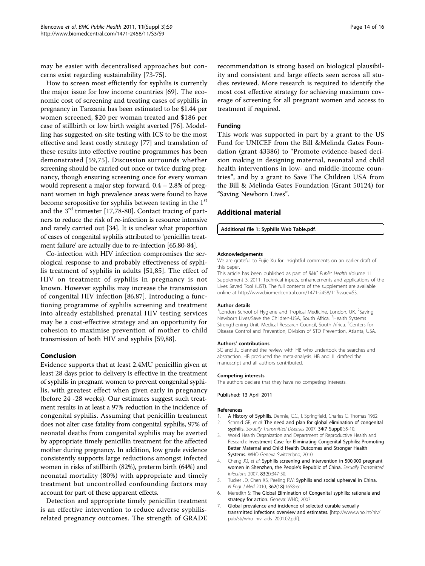<span id="page-13-0"></span>may be easier with decentralised approaches but concerns exist regarding sustainability [\[73](#page-15-0)-[75\]](#page-15-0).

How to screen most efficiently for syphilis is currently the major issue for low income countries [[69\]](#page-15-0). The economic cost of screening and treating cases of syphilis in pregnancy in Tanzania has been estimated to be \$1.44 per women screened, \$20 per woman treated and \$186 per case of stillbirth or low birth weight averted [[76](#page-15-0)]. Modelling has suggested on-site testing with ICS to be the most effective and least costly strategy [[77](#page-15-0)] and translation of these results into effective routine programmes has been demonstrated [[59](#page-14-0),[75\]](#page-15-0). Discussion surrounds whether screening should be carried out once or twice during pregnancy, though ensuring screening once for every woman would represent a major step forward. 0.4 – 2.8% of pregnant women in high prevalence areas were found to have become seropositive for syphilis between testing in the 1<sup>st</sup> and the 3<sup>rd</sup> trimester [[17,](#page-14-0)[78-80](#page-15-0)]. Contact tracing of partners to reduce the risk of re-infection is resource intensive and rarely carried out [[34](#page-14-0)]. It is unclear what proportion of cases of congenital syphilis attributed to 'penicillin treatment failure' are actually due to re-infection [\[65,80-84\]](#page-15-0).

Co-infection with HIV infection compromises the serological response to and probably effectiveness of syphilis treatment of syphilis in adults [\[51](#page-14-0),[85\]](#page-15-0). The effect of HIV on treatment of syphilis in pregnancy is not known. However syphilis may increase the transmission of congenital HIV infection [[86,87](#page-15-0)]. Introducing a functioning programme of syphilis screening and treatment into already established prenatal HIV testing services may be a cost-effective strategy and an opportunity for cohesion to maximise prevention of mother to child transmission of both HIV and syphilis [[59,](#page-14-0)[88\]](#page-15-0).

#### Conclusion

Evidence supports that at least 2.4MU penicillin given at least 28 days prior to delivery is effective in the treatment of syphilis in pregnant women to prevent congenital syphilis, with greatest effect when given early in pregnancy (before 24 -28 weeks). Our estimates suggest such treatment results in at least a 97% reduction in the incidence of congenital syphilis. Assuming that penicillin treatment does not alter case fatality from congenital syphilis, 97% of neonatal deaths from congenital syphilis may be averted by appropriate timely penicillin treatment for the affected mother during pregnancy. In addition, low grade evidence consistently supports large reductions amongst infected women in risks of stillbirth (82%), preterm birth (64%) and neonatal mortality (80%) with appropriate and timely treatment but uncontrolled confounding factors may account for part of these apparent effects.

Detection and appropriate timely penicillin treatment is an effective intervention to reduce adverse syphilisrelated pregnancy outcomes. The strength of GRADE

recommendation is strong based on biological plausibility and consistent and large effects seen across all studies reviewed. More research is required to identify the most cost effective strategy for achieving maximum coverage of screening for all pregnant women and access to treatment if required.

#### Funding

This work was supported in part by a grant to the US Fund for UNICEF from the Bill &Melinda Gates Foundation (grant 43386) to "Promote evidence-based decision making in designing maternal, neonatal and child health interventions in low- and middle-income countries", and by a grant to Save The Children USA from the Bill & Melinda Gates Foundation (Grant 50124) for "Saving Newborn Lives".

#### Additional material

#### [Additional file 1: S](http://www.biomedcentral.com/content/supplementary/1471-2458-11-S3-S9-S1.xlsx)yphilis Web Table.pdf.

#### Acknowledgements

We are grateful to Fujie Xu for insightful comments on an earlier draft of this paper.

This article has been published as part of BMC Public Health Volume 11 Supplement 3, 2011: Technical inputs, enhancements and applications of the Lives Saved Tool (LiST). The full contents of the supplement are available online at<http://www.biomedcentral.com/1471-2458/11?issue=S3>.

#### Author details

<sup>1</sup> London School of Hygiene and Tropical Medicine, London, UK. <sup>2</sup>Saving Newborn Lives/Save the Children-USA, South Africa. <sup>3</sup>Health Systems Strengthening Unit, Medical Research Council, South Africa. <sup>4</sup>Centers for Disease Control and Prevention, Division of STD Prevention, Atlanta, USA.

#### Authors' contributions

SC and JL planned the review with HB who undertook the searches and abstraction. HB produced the meta-analysis. HB and JL drafted the manuscript and all authors contributed.

#### Competing interests

The authors declare that they have no competing interests.

Published: 13 April 2011

#### References

- 1. A History of Syphilis. Dennie, C.C., I. Springfield, Charles C. Thomas 1962.
- 2. Schmid GP, et al: [The need and plan for global elimination of congenital](http://www.ncbi.nlm.nih.gov/pubmed/17592390?dopt=Abstract) [syphilis.](http://www.ncbi.nlm.nih.gov/pubmed/17592390?dopt=Abstract) Sexually Transmitted Diseases 2007, 34(7 Suppl):S5-10.
- 3. World Health Organization and Department of Reproductive Health and Research: Investment Case for Eliminating Congenital Syphilis: Promoting Better Maternal and Child Health Outcomes and Stronger Health Systems. WHO Geneva Switzerland; 2010.
- 4. Cheng JQ, et al: [Syphilis screening and intervention in 500,000 pregnant](http://www.ncbi.nlm.nih.gov/pubmed/17693449?dopt=Abstract) [women in Shenzhen, the People](http://www.ncbi.nlm.nih.gov/pubmed/17693449?dopt=Abstract)'s Republic of China. Sexually Transmitted Infections 2007, 83(5):347-50.
- 5. Tucker JD, Chen XS, Peeling RW: [Syphilis and social upheaval in China.](http://www.ncbi.nlm.nih.gov/pubmed/20445179?dopt=Abstract) N Engl J Med 2010, 362(18):1658-61.
- 6. Meredith S: The Global Elimination of Congenital syphilis: rationale and strategy for action. Geneva: WHO; 2007.
- 7. Global prevalence and incidence of selected curable sexually transmitted infections overview and estimates. [\[http://www.who.int/hiv/](http://www.who.int/hiv/pub/sti/who_hiv_aids_2001.02.pdf) [pub/sti/who\\_hiv\\_aids\\_2001.02.pdf](http://www.who.int/hiv/pub/sti/who_hiv_aids_2001.02.pdf)].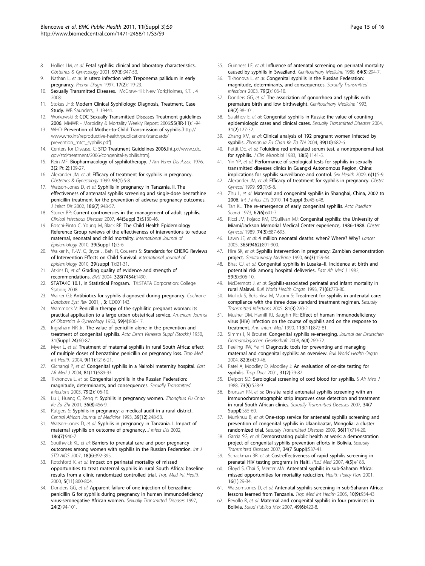- <span id="page-14-0"></span>8. Hollier LM, et al: Fetal syphilis: clinical and laboratory characteristics. Obstetrics & Gynecology 2001, 97(6):947-53.
- 9. Nathan L, et al: [In utero infection with Treponema pallidum in early](http://www.ncbi.nlm.nih.gov/pubmed/9061759?dopt=Abstract) [pregnancy.](http://www.ncbi.nlm.nih.gov/pubmed/9061759?dopt=Abstract) Prenat Diagn 1997, 17(2):119-23.
- 10. Sexually Transmitted Diseases. McGraw-Hill: New York; Holmes, K.T., 4 2008:.
- 11. Stokes JHB: Modern Clinical Syphilology: Diagnosis, Treatment, Case Study. WB Saunders;, 3 19441.
- 12. Workowski B: CDC Sexually Transmitted Diseases Treatment guidelines 2006. MMWR - Morbidity & Mortality Weekly Report; 2006:55(RR-11):1-94.
- 13. WHO: Prevention of Mother-to-Child Transmission of syphilis.[[http://](http://www.who.int/reproductive-health/publications/standards/prevention_mtct_syphilis.pdf) [www.who.int/reproductive-health/publications/standards/](http://www.who.int/reproductive-health/publications/standards/prevention_mtct_syphilis.pdf) [prevention\\_mtct\\_syphilis.pdf\]](http://www.who.int/reproductive-health/publications/standards/prevention_mtct_syphilis.pdf).
- 14. Centers for Disease, C: STD Treatment Guidelines 2006.[[http://www.cdc.](http://www.cdc.gov/std/treatment/2006/congenital-syphilis.htm) [gov/std/treatment/2006/congenital-syphilis.htm\]](http://www.cdc.gov/std/treatment/2006/congenital-syphilis.htm).
- 15. Rein MF: [Biopharmacology of syphilotherapy.](http://www.ncbi.nlm.nih.gov/pubmed/795799?dopt=Abstract) J Am Vener Dis Assoc 1976, 3(2 Pt 2):109-27.
- 16. Alexander JM, et al: Efficacy of treatment for syphilis in pregnancy. Obstetrics & Gynecology 1999, 93(1):5-8.
- 17. Watson-Jones D, et al: [Syphilis in pregnancy in Tanzania. II. The](http://www.ncbi.nlm.nih.gov/pubmed/12232835?dopt=Abstract) [effectiveness of antenatal syphilis screening and single-dose benzathine](http://www.ncbi.nlm.nih.gov/pubmed/12232835?dopt=Abstract) [penicillin treatment for the prevention of adverse pregnancy outcomes.](http://www.ncbi.nlm.nih.gov/pubmed/12232835?dopt=Abstract) J Infect Dis 2002, 186(7):948-57.
- 18. Stoner BP: [Current controversies in the management of adult syphilis.](http://www.ncbi.nlm.nih.gov/pubmed/17342666?dopt=Abstract) Clinical Infectious Diseases 2007, 44(Suppl 3):S130-46.
- 19. Boschi-Pinto C, Young M, Black RE: [The Child Health Epidemiology](http://www.ncbi.nlm.nih.gov/pubmed/20348123?dopt=Abstract) [Reference Group reviews of the effectiveness of interventions to reduce](http://www.ncbi.nlm.nih.gov/pubmed/20348123?dopt=Abstract) [maternal, neonatal and child mortality.](http://www.ncbi.nlm.nih.gov/pubmed/20348123?dopt=Abstract) International Journal of Epidemiology 2010, 39(Suppl 1):i3-6.
- 20. Walker N, F.-W. C, Bryce J, Bahl R, Cousens S: [Standards for CHERG Reviews](http://www.ncbi.nlm.nih.gov/pubmed/20348122?dopt=Abstract) [of Intervention Effects on Child Survival.](http://www.ncbi.nlm.nih.gov/pubmed/20348122?dopt=Abstract) International Journal of Epidemiology 2010, 39(suppl 1):i21-31.
- 21. Atkins D, et al: [Grading quality of evidence and strength of](http://www.ncbi.nlm.nih.gov/pubmed/15205295?dopt=Abstract) [recommendations.](http://www.ncbi.nlm.nih.gov/pubmed/15205295?dopt=Abstract) BMJ 2004, 328(7454):1490.
- 22. STATA/IC 10.1, in Statistical Program. TX:STATA Corporation: College Station; 2008.
- 23. Walker GJ: [Antibiotics for syphilis diagnosed during pregnancy.](http://www.ncbi.nlm.nih.gov/pubmed/11686978?dopt=Abstract) Cochrane Database Syst Rev 2001, , 3: CD001143.
- 24. Wammock V: Penicillin therapy of the syphilitic pregnant woman: its practical application to a large urban obstetrical service. American Journal of Obstetrics & Gynecology 1950, 59(4):806-17.
- 25. Ingraham NR Jr.: [The value of penicillin alone in the prevention and](http://www.ncbi.nlm.nih.gov/pubmed/14829195?dopt=Abstract) [treatment of congenital syphilis.](http://www.ncbi.nlm.nih.gov/pubmed/14829195?dopt=Abstract) Acta Derm Venereol Suppl (Stockh) 1950, 31(Suppl 24):60-87.
- 26. Myer L, et al: [Treatment of maternal syphilis in rural South Africa: effect](http://www.ncbi.nlm.nih.gov/pubmed/15548319?dopt=Abstract) [of multiple doses of benzathine penicillin on pregnancy loss.](http://www.ncbi.nlm.nih.gov/pubmed/15548319?dopt=Abstract) Trop Med Int Health 2004, 9(11):1216-21.
- 27. Gichangi P, et al: [Congenital syphilis in a Nairobi maternity hospital.](http://www.ncbi.nlm.nih.gov/pubmed/15868969?dopt=Abstract) East Afr Med J 2004, 81(11):589-93.
- 28. Tikhonova L, et al: [Congenital syphilis in the Russian Federation:](http://www.ncbi.nlm.nih.gov/pubmed/12690129?dopt=Abstract) [magnitude, determinants, and consequences.](http://www.ncbi.nlm.nih.gov/pubmed/12690129?dopt=Abstract) Sexually Transmitted Infections 2003, 79(2):106-10.
- 29. Lu J, Huang C, Zeng Y: [Syphilis in pregnancy women.](http://www.ncbi.nlm.nih.gov/pubmed/11758176?dopt=Abstract) Zhonghua Fu Chan Ke Za Zhi 2001, 36(8):456-9.
- 30. Rutgers S: [Syphilis in pregnancy: a medical audit in a rural district.](http://www.ncbi.nlm.nih.gov/pubmed/8055557?dopt=Abstract) Central African Journal of Medicine 1993, 39(12):248-53.
- 31. Watson-Jones D, et al: [Syphilis in pregnancy in Tanzania. I. Impact of](http://www.ncbi.nlm.nih.gov/pubmed/12232834?dopt=Abstract) [maternal syphilis on outcome of pregnancy.](http://www.ncbi.nlm.nih.gov/pubmed/12232834?dopt=Abstract) J Infect Dis 2002, 186(7):940-7.
- 32. Southwick KL, et al: [Barriers to prenatal care and poor pregnancy](http://www.ncbi.nlm.nih.gov/pubmed/17609028?dopt=Abstract) [outcomes among women with syphilis in the Russian Federation.](http://www.ncbi.nlm.nih.gov/pubmed/17609028?dopt=Abstract) Int J STD AIDS 2007, 18(6):392-395.
- 33. Rotchford K, et al: [Impact on perinatal mortality of missed](http://www.ncbi.nlm.nih.gov/pubmed/11123828?dopt=Abstract) [opportunities to treat maternal syphilis in rural South Africa: baseline](http://www.ncbi.nlm.nih.gov/pubmed/11123828?dopt=Abstract) [results from a clinic randomized controlled trial.](http://www.ncbi.nlm.nih.gov/pubmed/11123828?dopt=Abstract) Trop Med Int Health 2000, 5(11):800-804.
- 34. Donders GG, et al: [Apparent failure of one injection of benzathine](http://www.ncbi.nlm.nih.gov/pubmed/9111755?dopt=Abstract) [penicillin G for syphilis during pregnancy in human immunodeficiency](http://www.ncbi.nlm.nih.gov/pubmed/9111755?dopt=Abstract) [virus-seronegative African women.](http://www.ncbi.nlm.nih.gov/pubmed/9111755?dopt=Abstract) Sexually Transmitted Diseases 1997, 24(2):94-101.
- 35. Guinness LF, et al: Influence [of antenatal screening on perinatal mortality](http://www.ncbi.nlm.nih.gov/pubmed/3203929?dopt=Abstract) [caused by syphilis in Swaziland.](http://www.ncbi.nlm.nih.gov/pubmed/3203929?dopt=Abstract) Genitourinary Medicine 1988, 64(5):294-7.
- 36. Tikhonova L, et al: [Congenital syphilis in the Russian Federation:](http://www.ncbi.nlm.nih.gov/pubmed/12690129?dopt=Abstract) [magnitude, determinants, and consequences.](http://www.ncbi.nlm.nih.gov/pubmed/12690129?dopt=Abstract) Sexually Transmitted Infections 2003, 79(2):106-10.
- 37. Donders GG, et al: [The association of gonorrhoea and syphilis with](http://www.ncbi.nlm.nih.gov/pubmed/8509101?dopt=Abstract) [premature birth and low birthweight.](http://www.ncbi.nlm.nih.gov/pubmed/8509101?dopt=Abstract) Genitourinary Medicine 1993, 69(2):98-101.
- Salakhov E, et al: [Congenital syphilis in Russia: the value of counting](http://www.ncbi.nlm.nih.gov/pubmed/14743077?dopt=Abstract) [epidemiologic cases and clinical cases.](http://www.ncbi.nlm.nih.gov/pubmed/14743077?dopt=Abstract) Sexually Transmitted Diseases 2004, 31(2):127-32.
- 39. Zhang XM, et al: [Clinical analysis of 192 pregnant women infected by](http://www.ncbi.nlm.nih.gov/pubmed/16144566?dopt=Abstract) [syphilis.](http://www.ncbi.nlm.nih.gov/pubmed/16144566?dopt=Abstract) Zhonghua Fu Chan Ke Za Zhi 2004, 39(10):682-6.
- Pettit DE, et al: [Toluidine red unheated serum test, a nontreponemal test](http://www.ncbi.nlm.nih.gov/pubmed/6417160?dopt=Abstract) [for syphilis.](http://www.ncbi.nlm.nih.gov/pubmed/6417160?dopt=Abstract) *J Clin Microbiol* 1983, 18(5):1141-5.
- 41. Yin YP, et al: [Performance of serological tests for syphilis in sexually](http://www.ncbi.nlm.nih.gov/pubmed/19254485?dopt=Abstract) [transmitted diseases clinics in Guangxi Autonomous Region, China:](http://www.ncbi.nlm.nih.gov/pubmed/19254485?dopt=Abstract) [implications for syphilis surveillance and control.](http://www.ncbi.nlm.nih.gov/pubmed/19254485?dopt=Abstract) Sex Health 2009, 6(1):5-9.
- 42. Alexander JM, et al: [Efficacy of treatment for syphilis in pregnancy.](http://www.ncbi.nlm.nih.gov/pubmed/9916946?dopt=Abstract) Obstet Gynecol 1999, 93(1):5-8.
- 43. Zhu L, et al: [Maternal and congenital syphilis in Shanghai, China, 2002 to](http://www.ncbi.nlm.nih.gov/pubmed/20137991?dopt=Abstract) [2006.](http://www.ncbi.nlm.nih.gov/pubmed/20137991?dopt=Abstract) Int J Infect Dis 2010, 14 Suppl 3:e45-e48.
- 44. Tan KL: [The re-emergence of early congenital syphilis.](http://www.ncbi.nlm.nih.gov/pubmed/4765579?dopt=Abstract) Acta Paediatr Scand 1973, 62(6):601-7.
- 45. Ricci JM, Fojaco RM, O'Sullivan MJ: [Congenital syphilis: the University of](http://www.ncbi.nlm.nih.gov/pubmed/2812644?dopt=Abstract) [Miami/Jackson Memorial Medical Center experience, 1986-1988.](http://www.ncbi.nlm.nih.gov/pubmed/2812644?dopt=Abstract) Obstet Gynecol 1989, 74(5):687-693.
- 46. Lawn JE, et al: [4 million neonatal deaths: when? Where? Why?](http://www.ncbi.nlm.nih.gov/pubmed/15752534?dopt=Abstract) Lancet 2005, 365(9462):891-900.
- 47. Hira SK, et al: [Syphilis intervention in pregnancy: Zambian demonstration](http://www.ncbi.nlm.nih.gov/pubmed/2370060?dopt=Abstract) [project.](http://www.ncbi.nlm.nih.gov/pubmed/2370060?dopt=Abstract) Genitourinary Medicine 1990, 66(3):159-64.
- 48. Bhat CJ, et al: [Congenital syphilis in Lusaka](http://www.ncbi.nlm.nih.gov/pubmed/7173066?dopt=Abstract)-II. Incidence at birth and [potential risk among hospital deliveries.](http://www.ncbi.nlm.nih.gov/pubmed/7173066?dopt=Abstract) East Afr Med J 1982, 59(5):306-10.
- 49. McDermott J, et al: [Syphilis-associated perinatal and infant mortality in](http://www.ncbi.nlm.nih.gov/pubmed/8313495?dopt=Abstract) [rural Malawi.](http://www.ncbi.nlm.nih.gov/pubmed/8313495?dopt=Abstract) Bull World Health Organ 1993, 71(6):773-80.
- 50. Mullick S, Beksinksa M, Msomi S: [Treatment for syphilis in antenatal care:](http://www.ncbi.nlm.nih.gov/pubmed/15923289?dopt=Abstract) [compliance with the three dose standard treatment regimen.](http://www.ncbi.nlm.nih.gov/pubmed/15923289?dopt=Abstract) Sexually Transmitted Infections 2005, 81(3):220-2.
- 51. Musher DM, Hamill RJ, Baughn RE: [Effect of human immunodeficiency](http://www.ncbi.nlm.nih.gov/pubmed/2240901?dopt=Abstract) [virus \(HIV\) infection on the course of syphilis and on the response to](http://www.ncbi.nlm.nih.gov/pubmed/2240901?dopt=Abstract) [treatment.](http://www.ncbi.nlm.nih.gov/pubmed/2240901?dopt=Abstract) Ann Intern Med 1990, 113(11):872-81.
- 52. Simms I, N Broutet: [Congenital syphilis re-emerging.](http://www.ncbi.nlm.nih.gov/pubmed/18266865?dopt=Abstract) Journal der Deutschen Dermatologischen Gesellschaft 2008, 6(4):269-72.
- 53. Peeling RW, Ye H: [Diagnostic tools for preventing and managing](http://www.ncbi.nlm.nih.gov/pubmed/15356937?dopt=Abstract) [maternal and congenital syphilis: an overview.](http://www.ncbi.nlm.nih.gov/pubmed/15356937?dopt=Abstract) Bull World Health Organ 2004, 82(6):439-46.
- 54. Patel A, Moodley D, Moodley J: [An evaluation of on-site testing for](http://www.ncbi.nlm.nih.gov/pubmed/11321278?dopt=Abstract) [syphilis.](http://www.ncbi.nlm.nih.gov/pubmed/11321278?dopt=Abstract) Trop Doct 2001, 31(2):79-82.
- 55. Delport SD: [Serological screening of cord blood for syphilis.](http://www.ncbi.nlm.nih.gov/pubmed/3375943?dopt=Abstract) S Afr Med J 1988, 73(9):528-9.
- 56. Bronzan RN, et al: [On-site rapid antenatal syphilis screening with an](http://www.ncbi.nlm.nih.gov/pubmed/17139234?dopt=Abstract) [immunochromatographic strip improves case detection and treatment](http://www.ncbi.nlm.nih.gov/pubmed/17139234?dopt=Abstract) [in rural South African clinics.](http://www.ncbi.nlm.nih.gov/pubmed/17139234?dopt=Abstract) Sexually Transmitted Diseases 2007, 34(7 Suppl):S55-60.
- 57. Munkhuu B, et al: [One-stop service for antenatal syphilis screening and](http://www.ncbi.nlm.nih.gov/pubmed/19773681?dopt=Abstract) [prevention of congenital syphilis in Ulaanbaatar, Mongolia: a cluster](http://www.ncbi.nlm.nih.gov/pubmed/19773681?dopt=Abstract) [randomized trial.](http://www.ncbi.nlm.nih.gov/pubmed/19773681?dopt=Abstract) Sexually Transmitted Diseases 2009, 36(11):714-20.
- 58. Garcia SG, et al: [Demonstrating public health at work: a demonstration](http://www.ncbi.nlm.nih.gov/pubmed/17179776?dopt=Abstract) [project of congenital syphilis prevention efforts in Bolivia.](http://www.ncbi.nlm.nih.gov/pubmed/17179776?dopt=Abstract) Sexually Transmitted Diseases 2007, 34(7 Suppl):S37-41.
- 59. Schackman BR, et al: [Cost-effectiveness of rapid syphilis screening in](http://www.ncbi.nlm.nih.gov/pubmed/17535105?dopt=Abstract) [prenatal HIV testing programs in Haiti.](http://www.ncbi.nlm.nih.gov/pubmed/17535105?dopt=Abstract) PLoS Med 2007, 4(5):e183.
- 60. Gloyd S, Chai S, Mercer MA: [Antenatal syphilis in sub-Saharan Africa:](http://www.ncbi.nlm.nih.gov/pubmed/11238427?dopt=Abstract) [missed opportunities for mortality reduction.](http://www.ncbi.nlm.nih.gov/pubmed/11238427?dopt=Abstract) Health Policy Plan 2001, 16(1):29-34.
- 61. Watson-Jones D, et al: [Antenatal syphilis screening in sub-Saharan Africa:](http://www.ncbi.nlm.nih.gov/pubmed/16135202?dopt=Abstract) [lessons learned from Tanzania.](http://www.ncbi.nlm.nih.gov/pubmed/16135202?dopt=Abstract) Trop Med Int Health 2005, 10(9):934-43.
- 62. Revollo R, et al: [Maternal and congenital syphilis in four provinces in](http://www.ncbi.nlm.nih.gov/pubmed/18176702?dopt=Abstract) [Bolivia.](http://www.ncbi.nlm.nih.gov/pubmed/18176702?dopt=Abstract) Salud Publica Mex 2007, 49(6):422-8.